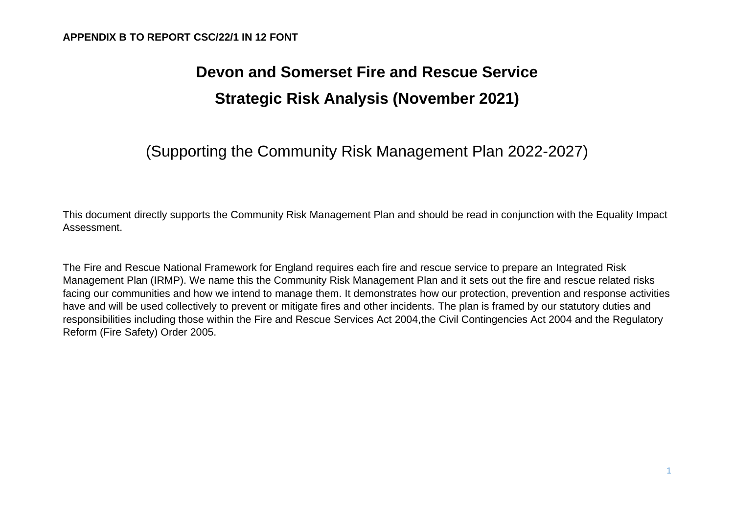# **Devon and Somerset Fire and Rescue Service Strategic Risk Analysis (November 2021)**

## (Supporting the Community Risk Management Plan 2022-2027)

This document directly supports the Community Risk Management Plan and should be read in conjunction with the Equality Impact Assessment.

The Fire and Rescue National Framework for England requires each fire and rescue service to prepare an Integrated Risk Management Plan (IRMP). We name this the Community Risk Management Plan and it sets out the fire and rescue related risks facing our communities and how we intend to manage them. It demonstrates how our protection, prevention and response activities have and will be used collectively to prevent or mitigate fires and other incidents. The plan is framed by our statutory duties and responsibilities including those within the [Fire and Rescue Services Act 2004,](http://www.legislation.gov.uk/ukpga/2004/21/pdfs/ukpga_20040021_en.pdf)the [Civil Contingencies Act 2004 a](http://www.legislation.gov.uk/ukpga/2004/36/pdfs/ukpga_20040036_en.pdf)nd the [Regulatory](http://www.legislation.gov.uk/uksi/2005/1541/pdfs/uksi_20051541_en.pdf)  [Reform \(Fire](http://www.legislation.gov.uk/uksi/2005/1541/pdfs/uksi_20051541_en.pdf) [Safety\)](http://www.legislation.gov.uk/uksi/2005/1541/pdfs/uksi_20051541_en.pdf) Order 2005.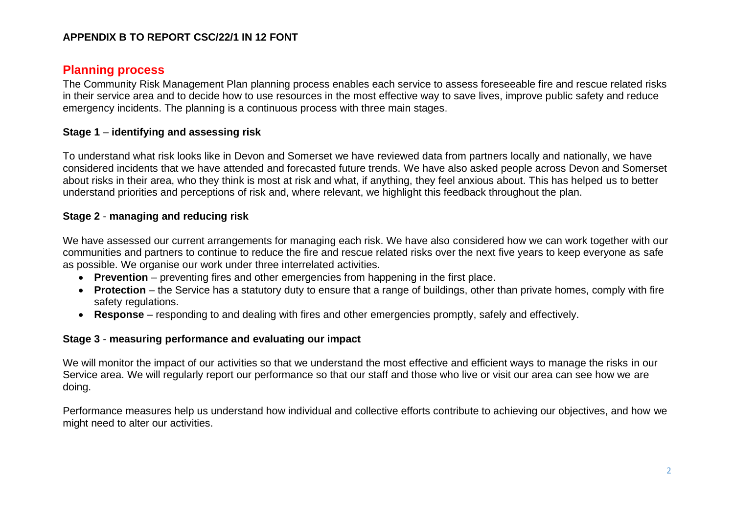## **Planning process**

The Community Risk Management Plan planning process enables each service to assess foreseeable fire and rescue related risks in their service area and to decide how to use resources in the most effective way to save lives, improve public safety and reduce emergency incidents. The planning is a continuous process with three main stages.

#### **Stage 1** – **identifying and assessing risk**

To understand what risk looks like in Devon and Somerset we have reviewed data from partners locally and nationally, we have considered incidents that we have attended and forecasted future trends. We have also asked people across Devon and Somerset about risks in their area, who they think is most at risk and what, if anything, they feel anxious about. This has helped us to better understand priorities and perceptions of risk and, where relevant, we highlight this feedback throughout the plan.

#### **Stage 2** - **managing and reducing risk**

We have assessed our current arrangements for managing each risk. We have also considered how we can work together with our communities and partners to continue to reduce the fire and rescue related risks over the next five years to keep everyone as safe as possible. We organise our work under three interrelated activities.

- **Prevention** preventing fires and other emergencies from happening in the first place.
- **Protection** the Service has a statutory duty to ensure that a range of buildings, other than private homes, comply with fire safety regulations.
- **Response** responding to and dealing with fires and other emergencies promptly, safely and effectively.

#### **Stage 3** - **measuring performance and evaluating our impact**

We will monitor the impact of our activities so that we understand the most effective and efficient ways to manage the risks in our Service area. We will regularly report our performance so that our staff and those who live or visit our area can see how we are doing.

Performance measures help us understand how individual and collective efforts contribute to achieving our objectives, and how we might need to alter our activities.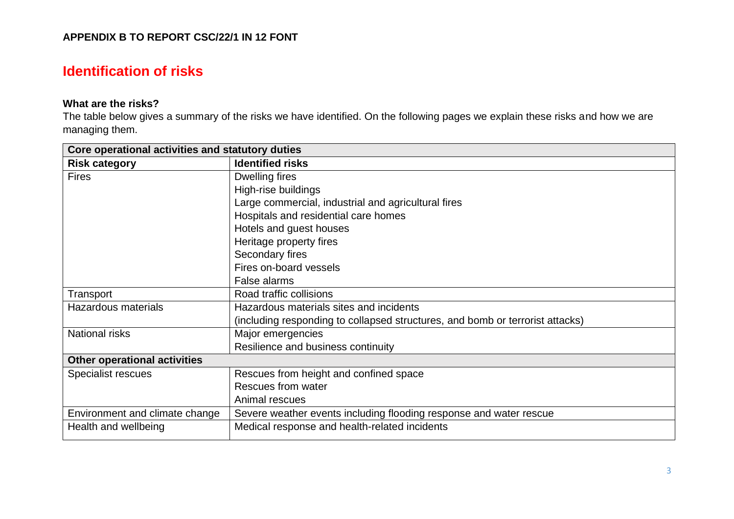## **Identification of risks**

## **What are the risks?**

The table below gives a summary of the risks we have identified. On the following pages we explain these risks and how we are managing them.

| Core operational activities and statutory duties |                                                                               |
|--------------------------------------------------|-------------------------------------------------------------------------------|
| <b>Risk category</b>                             | <b>Identified risks</b>                                                       |
| <b>Fires</b>                                     | Dwelling fires                                                                |
|                                                  | High-rise buildings                                                           |
|                                                  | Large commercial, industrial and agricultural fires                           |
|                                                  | Hospitals and residential care homes                                          |
|                                                  | Hotels and guest houses                                                       |
|                                                  | Heritage property fires                                                       |
|                                                  | Secondary fires                                                               |
|                                                  | Fires on-board vessels                                                        |
|                                                  | False alarms                                                                  |
| Transport                                        | Road traffic collisions                                                       |
| <b>Hazardous materials</b>                       | Hazardous materials sites and incidents                                       |
|                                                  | (including responding to collapsed structures, and bomb or terrorist attacks) |
| National risks                                   | Major emergencies                                                             |
|                                                  | Resilience and business continuity                                            |
| <b>Other operational activities</b>              |                                                                               |
| Specialist rescues                               | Rescues from height and confined space                                        |
|                                                  | Rescues from water                                                            |
|                                                  | Animal rescues                                                                |
| Environment and climate change                   | Severe weather events including flooding response and water rescue            |
| Health and wellbeing                             | Medical response and health-related incidents                                 |
|                                                  |                                                                               |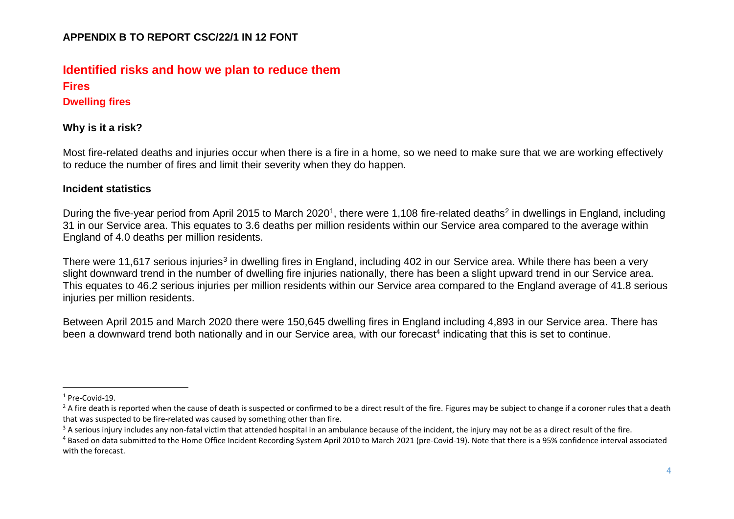## **Identified risks and how we plan to reduce them Fires**

**Dwelling fires**

#### **Why is it a risk?**

Most fire-related deaths and injuries occur when there is a fire in a home, so we need to make sure that we are working effectively to reduce the number of fires and limit their severity when they do happen.

#### **Incident statistics**

During the five-year period from April 2015 to March 2020<sup>1</sup>, there were 1,108 fire-related deaths<sup>2</sup> in dwellings in England, including 31 in our Service area. This equates to 3.6 deaths per million residents within our Service area compared to the average within England of 4.0 deaths per million residents.

There were 11,617 serious injuries<sup>3</sup> in dwelling fires in England, including 402 in our Service area. While there has been a very slight downward trend in the number of dwelling fire injuries nationally, there has been a slight upward trend in our Service area. This equates to 46.2 serious injuries per million residents within our Service area compared to the England average of 41.8 serious injuries per million residents.

Between April 2015 and March 2020 there were 150,645 dwelling fires in England including 4,893 in our Service area. There has been a downward trend both nationally and in our Service area, with our forecast<sup>4</sup> indicating that this is set to continue.

<sup>&</sup>lt;sup>1</sup> Pre-Covid-19.

 $^{2}$  A fire death is reported when the cause of death is suspected or confirmed to be a direct result of the fire. Figures may be subject to change if a coroner rules that a death that was suspected to be fire-related was caused by something other than fire.

 $3$  A serious injury includes any non-fatal victim that attended hospital in an ambulance because of the incident, the injury may not be as a direct result of the fire.

<sup>&</sup>lt;sup>4</sup> Based on data submitted to the Home Office Incident Recording System April 2010 to March 2021 (pre-Covid-19). Note that there is a 95% confidence interval associated with the forecast.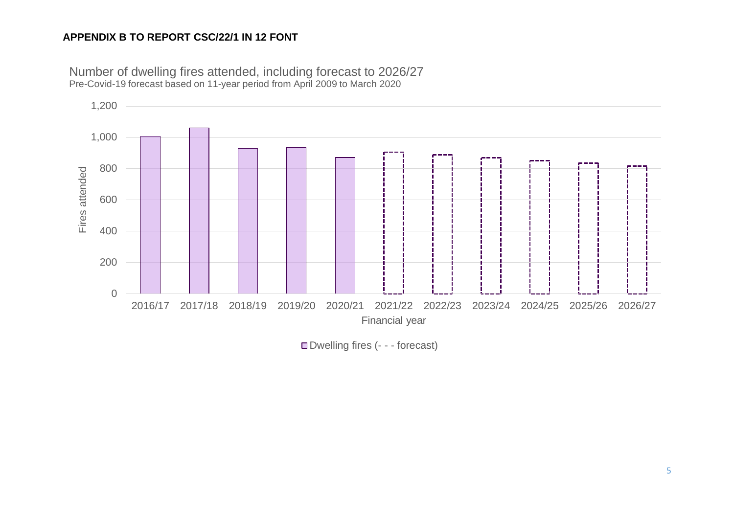

Number of dwelling fires attended, including forecast to 2026/27 Pre-Covid-19 forecast based on 11-year period from April 2009 to March 2020

Dwelling fires (- - - forecast)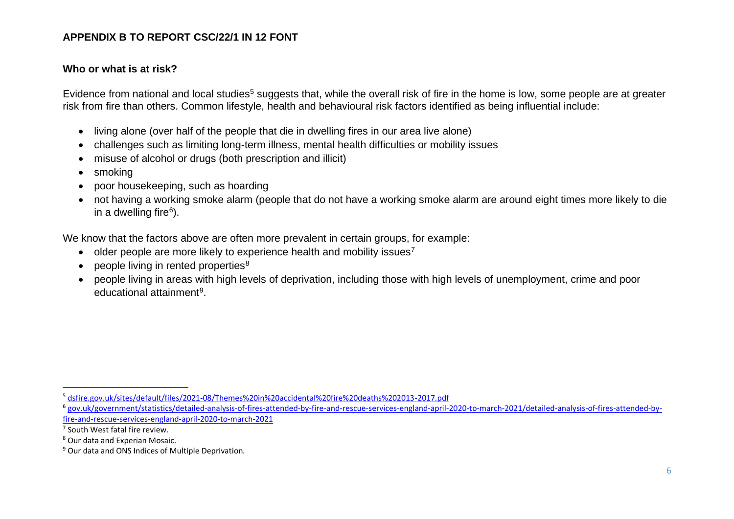#### **Who or what is at risk?**

Evidence from national and local studies<sup>5</sup> suggests that, while the overall risk of fire in the home is low, some people are at greater risk from fire than others. Common lifestyle, health and behavioural risk factors identified as being influential include:

- living alone (over half of the people that die in dwelling fires in our area live alone)
- challenges such as limiting long-term illness, mental health difficulties or mobility issues
- misuse of alcohol or drugs (both prescription and illicit)
- smoking
- poor housekeeping, such as hoarding
- not having a working smoke alarm (people that do not have a working smoke alarm are around eight times more likely to die in a dwelling fire<sup>6</sup>).

We know that the factors above are often more prevalent in certain groups, for example:

- older people are more likely to experience health and mobility issues<sup>7</sup>
- $\bullet$  people living in rented properties<sup>8</sup>
- people living in areas with high levels of deprivation, including those with high levels of unemployment, crime and poor educational attainment<sup>9</sup>.

<sup>5</sup> [dsfire.gov.uk/sites/default/files/2021-08/Themes%20in%20accidental%20fire%20deaths%202013-2017.pdf](https://beta.dsfire.gov.uk/sites/default/files/2021-08/Themes%20in%20accidental%20fire%20deaths%202013-2017.pdf)

<sup>6</sup> [gov.uk/government/statistics/detailed-analysis-of-fires-attended-by-fire-and-rescue-services-england-april-2020-to-march-2021/detailed-analysis-of-fires-attended-by](https://www.gov.uk/government/statistics/detailed-analysis-of-fires-attended-by-fire-and-rescue-services-england-april-2020-to-march-2021/detailed-analysis-of-fires-attended-by-fire-and-rescue-services-england-april-2020-to-march-2021)[fire-and-rescue-services-england-april-2020-to-march-2021](https://www.gov.uk/government/statistics/detailed-analysis-of-fires-attended-by-fire-and-rescue-services-england-april-2020-to-march-2021/detailed-analysis-of-fires-attended-by-fire-and-rescue-services-england-april-2020-to-march-2021)

<sup>&</sup>lt;sup>7</sup> South West fatal fire review.

<sup>8</sup> Our data and Experian Mosaic.

<sup>&</sup>lt;sup>9</sup> Our data and ONS Indices of Multiple Deprivation.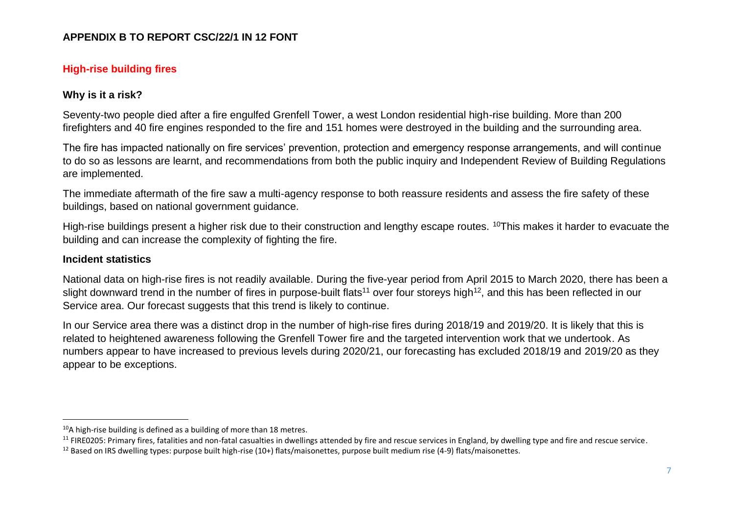## **High-rise building fires**

#### **Why is it a risk?**

Seventy-two people died after a fire engulfed Grenfell Tower, a west London residential high-rise building. More than 200 firefighters and 40 fire engines responded to the fire and 151 homes were destroyed in the building and the surrounding area.

The fire has impacted nationally on fire services' prevention, protection and emergency response arrangements, and will continue to do so as lessons are learnt, and recommendations from both the public inquiry and Independent Review of Building Regulations are implemented.

The immediate aftermath of the fire saw a multi-agency response to both reassure residents and assess the fire safety of these buildings, based on national government guidance.

High-rise buildings present a higher risk due to their construction and lengthy escape routes. <sup>10</sup>This makes it harder to evacuate the building and can increase the complexity of fighting the fire.

#### **Incident statistics**

National data on high-rise fires is not readily available. During the five-year period from April 2015 to March 2020, there has been a slight downward trend in the number of fires in purpose-built flats<sup>11</sup> over four storeys high<sup>12</sup>, and this has been reflected in our Service area. Our forecast suggests that this trend is likely to continue.

In our Service area there was a distinct drop in the number of high-rise fires during 2018/19 and 2019/20. It is likely that this is related to heightened awareness following the Grenfell Tower fire and the targeted intervention work that we undertook. As numbers appear to have increased to previous levels during 2020/21, our forecasting has excluded 2018/19 and 2019/20 as they appear to be exceptions.

 $10A$  high-rise building is defined as a building of more than 18 metres.

<sup>&</sup>lt;sup>11</sup> [FIRE0205: Primary fires, fatalities and non-fatal casualties in dwellings attended by fire and rescue services in England, by dwelling type and fire and rescue service.](https://assets.publishing.service.gov.uk/government/uploads/system/uploads/attachment_data/file/1009813/fire-statistics-data-tables-fire0205-120821.xlsx)

<sup>&</sup>lt;sup>12</sup> Based on IRS dwelling types: purpose built high-rise (10+) flats/maisonettes, purpose built medium rise (4-9) flats/maisonettes.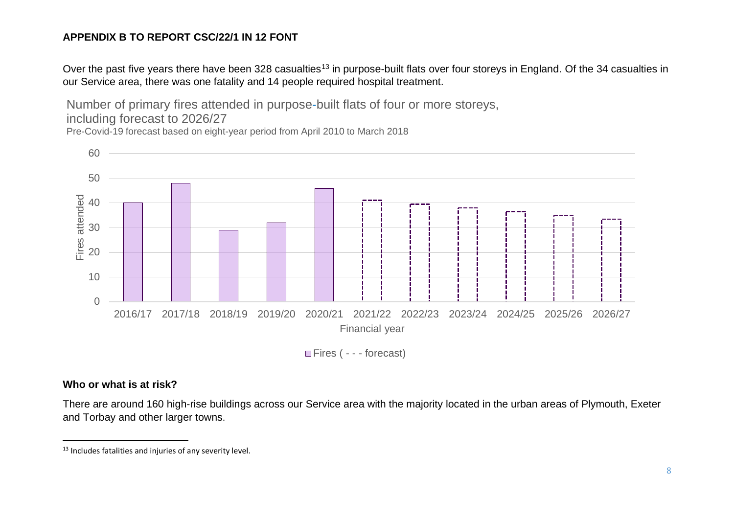Over the past five years there have been 328 casualties<sup>13</sup> in purpose-built flats over four storeys in England. Of the 34 casualties in our Service area, there was one fatality and 14 people required hospital treatment.

Number of primary fires attended in purpose-built flats of four or more storeys, including forecast to 2026/27

Pre-Covid-19 forecast based on eight-year period from April 2010 to March 2018



Fires ( - - - forecast)

#### **Who or what is at risk?**

There are around 160 high-rise buildings across our Service area with the majority located in the urban areas of Plymouth, Exeter and Torbay and other larger towns.

<sup>&</sup>lt;sup>13</sup> Includes fatalities and injuries of any severity level.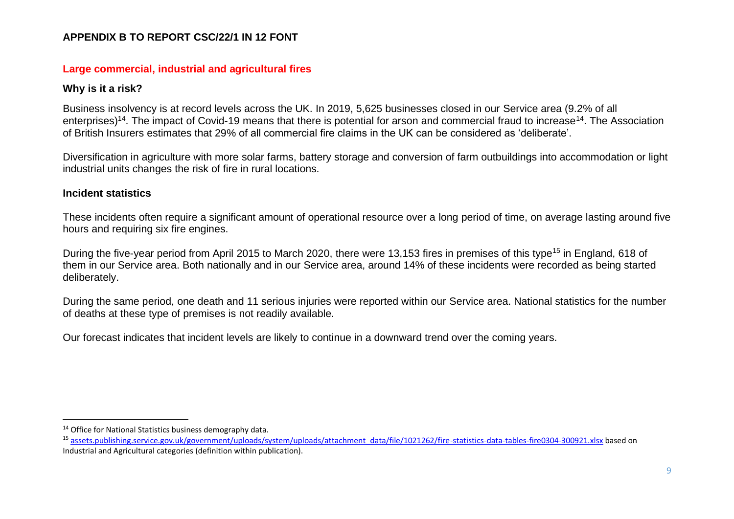#### **Large commercial, industrial and agricultural fires**

#### **Why is it a risk?**

Business insolvency is at record levels across the UK. In 2019, 5,625 businesses closed in our Service area (9.2% of all enterprises)<sup>14</sup>. The impact of Covid-19 means that there is potential for arson and commercial fraud to increase<sup>14</sup>. The Association of British Insurers estimates that 29% of all commercial fire claims in the UK can be considered as 'deliberate'.

Diversification in agriculture with more solar farms, battery storage and conversion of farm outbuildings into accommodation or light industrial units changes the risk of fire in rural locations.

#### **Incident statistics**

These incidents often require a significant amount of operational resource over a long period of time, on average lasting around five hours and requiring six fire engines.

During the five-year period from April 2015 to March 2020, there were 13,153 fires in premises of this type<sup>15</sup> in England, 618 of them in our Service area. Both nationally and in our Service area, around 14% of these incidents were recorded as being started deliberately.

During the same period, one death and 11 serious injuries were reported within our Service area. National statistics for the number of deaths at these type of premises is not readily available.

Our forecast indicates that incident levels are likely to continue in a downward trend over the coming years.

<sup>14</sup> Office for National Statistics business demography data.

<sup>&</sup>lt;sup>15</sup> [assets.publishing.service.gov.uk/government/uploads/system/uploads/attachment\\_data/file/1021262/fire-statistics-data-tables-fire0304-300921.xlsx](http://www.assets.publishing.service.gov.uk/government/uploads/system/uploads/attachment_data/file/1021262/fire-statistics-data-tables-fire0304-300921.xlsx) based on Industrial and Agricultural categories (definition within publication).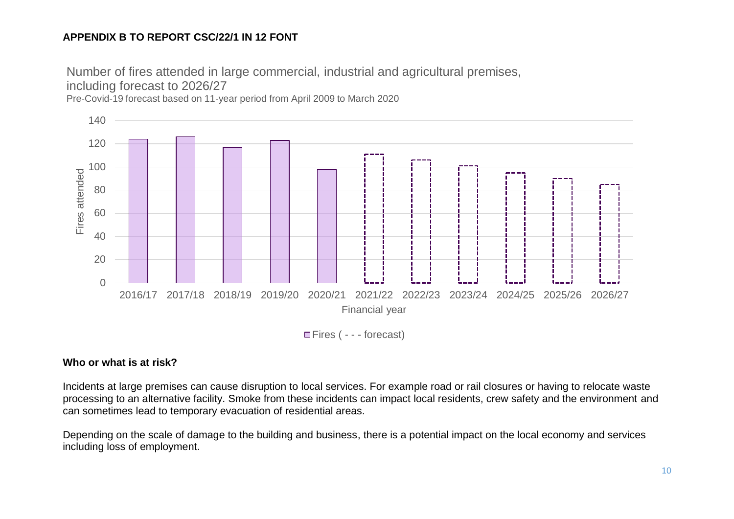Number of fires attended in large commercial, industrial and agricultural premises,

including forecast to 2026/27

Pre-Covid-19 forecast based on 11-year period from April 2009 to March 2020



□ Fires ( - - - forecast)

### **Who or what is at risk?**

Incidents at large premises can cause disruption to local services. For example road or rail closures or having to relocate waste processing to an alternative facility. Smoke from these incidents can impact local residents, crew safety and the environment and can sometimes lead to temporary evacuation of residential areas.

Depending on the scale of damage to the building and business, there is a potential impact on the local economy and services including loss of employment.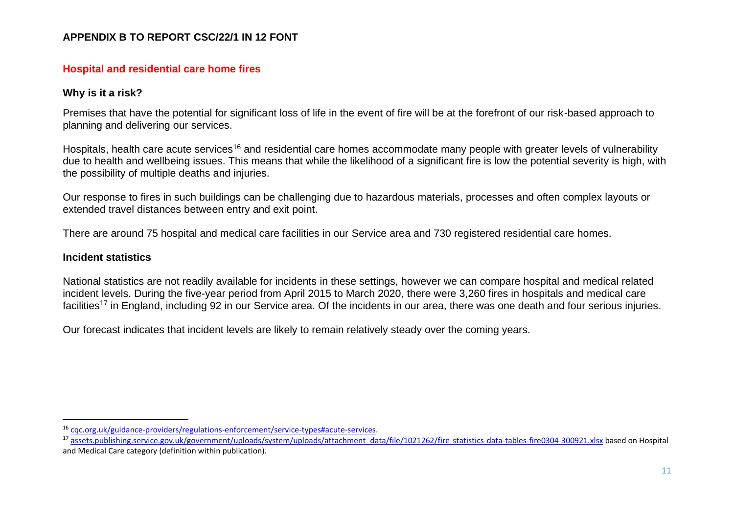#### **Hospital and residential care home fires**

#### **Why is it a risk?**

Premises that have the potential for significant loss of life in the event of fire will be at the forefront of our risk-based approach to planning and delivering our services.

Hospitals, health care acute services<sup>16</sup> and residential care homes accommodate many people with greater levels of vulnerability due to health and wellbeing issues. This means that while the likelihood of a significant fire is low the potential severity is high, with the possibility of multiple deaths and injuries.

Our response to fires in such buildings can be challenging due to hazardous materials, processes and often complex layouts or extended travel distances between entry and exit point.

There are around 75 hospital and medical care facilities in our Service area and 730 registered residential care homes.

#### **Incident statistics**

National statistics are not readily available for incidents in these settings, however we can compare hospital and medical related incident levels. During the five-year period from April 2015 to March 2020, there were 3,260 fires in hospitals and medical care facilities<sup>17</sup> in England, including 92 in our Service area. Of the incidents in our area, there was one death and four serious injuries.

Our forecast indicates that incident levels are likely to remain relatively steady over the coming years.

<sup>16</sup> [cqc.org.uk/guidance-providers/regulations-enforcement/service-types#acute-services.](http://www.cqc.org.uk/guidance-providers/regulations-enforcement/service-types#acute-services)

 $^{17}$  [assets.publishing.service.gov.uk/government/uploads/system/uploads/attachment\\_data/file/1021262/fire-statistics-data-tables-fire0304-300921.xlsx](http://www.assets.publishing.service.gov.uk/government/uploads/system/uploads/attachment_data/file/1021262/fire-statistics-data-tables-fire0304-300921.xlsx) based on Hospital and Medical Care category (definition within publication).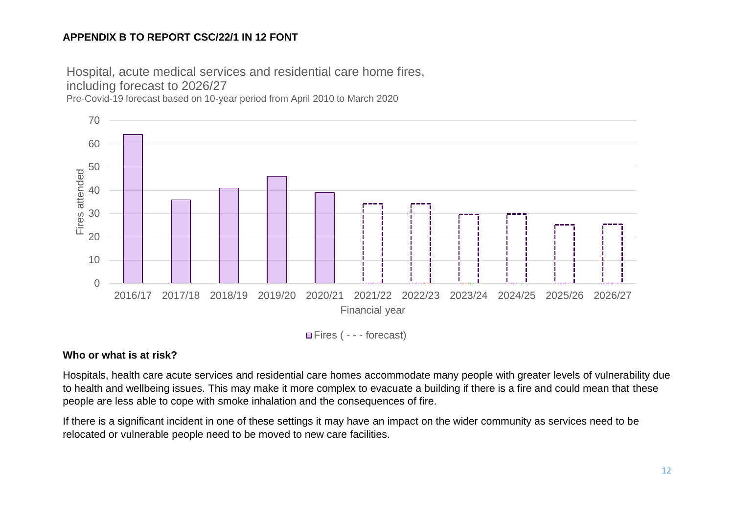Hospital, acute medical services and residential care home fires, including forecast to 2026/27

Pre-Covid-19 forecast based on 10-year period from April 2010 to March 2020



Fires ( - - - forecast)

## **Who or what is at risk?**

Hospitals, health care acute services and residential care homes accommodate many people with greater levels of vulnerability due to health and wellbeing issues. This may make it more complex to evacuate a building if there is a fire and could mean that these people are less able to cope with smoke inhalation and the consequences of fire.

If there is a significant incident in one of these settings it may have an impact on the wider community as services need to be relocated or vulnerable people need to be moved to new care facilities.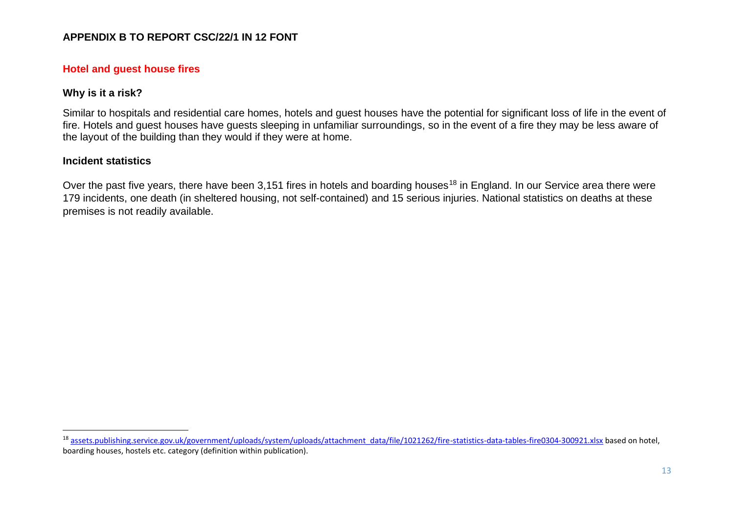#### **Hotel and guest house fires**

#### **Why is it a risk?**

Similar to hospitals and residential care homes, hotels and quest houses have the potential for significant loss of life in the event of fire. Hotels and guest houses have guests sleeping in unfamiliar surroundings, so in the event of a fire they may be less aware of the layout of the building than they would if they were at home.

#### **Incident statistics**

Over the past five years, there have been 3,151 fires in hotels and boarding houses<sup>18</sup> in England. In our Service area there were 179 incidents, one death (in sheltered housing, not self-contained) and 15 serious injuries. National statistics on deaths at these premises is not readily available.

<sup>&</sup>lt;sup>18</sup> [assets.publishing.service.gov.uk/government/uploads/system/uploads/attachment\\_data/file/1021262/fire-statistics-data-tables-fire0304-300921.xlsx](http://www.assets.publishing.service.gov.uk/government/uploads/system/uploads/attachment_data/file/1021262/fire-statistics-data-tables-fire0304-300921.xlsx) based on hotel, boarding houses, hostels etc. category (definition within publication).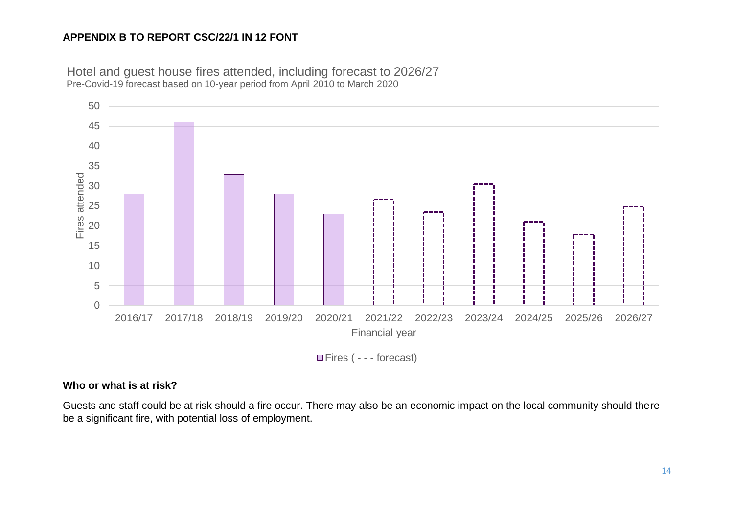

Hotel and guest house fires attended, including forecast to 2026/27 Pre-Covid-19 forecast based on 10-year period from April 2010 to March 2020

Fires ( - - - forecast)

#### **Who or what is at risk?**

Guests and staff could be at risk should a fire occur. There may also be an economic impact on the local community should there be a significant fire, with potential loss of employment.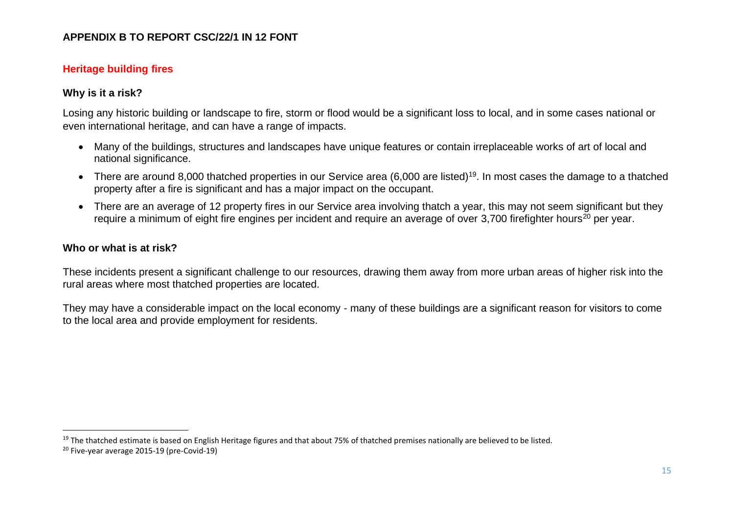## **Heritage building fires**

#### **Why is it a risk?**

Losing any historic building or landscape to fire, storm or flood would be a significant loss to local, and in some cases national or even international heritage, and can have a range of impacts.

- Many of the buildings, structures and landscapes have unique features or contain irreplaceable works of art of local and national significance.
- There are around 8,000 thatched properties in our Service area (6,000 are listed)<sup>19</sup>. In most cases the damage to a thatched property after a fire is significant and has a major impact on the occupant.
- There are an average of 12 property fires in our Service area involving thatch a year, this may not seem significant but they require a minimum of eight fire engines per incident and require an average of over 3,700 firefighter hours<sup>20</sup> per year.

#### **Who or what is at risk?**

These incidents present a significant challenge to our resources, drawing them away from more urban areas of higher risk into the rural areas where most thatched properties are located.

They may have a considerable impact on the local economy - many of these buildings are a significant reason for visitors to come to the local area and provide employment for residents.

<sup>&</sup>lt;sup>19</sup> The thatched estimate is based on English Heritage figures and that about 75% of thatched premises nationally are believed to be listed.

<sup>20</sup> Five-year average 2015-19 (pre-Covid-19)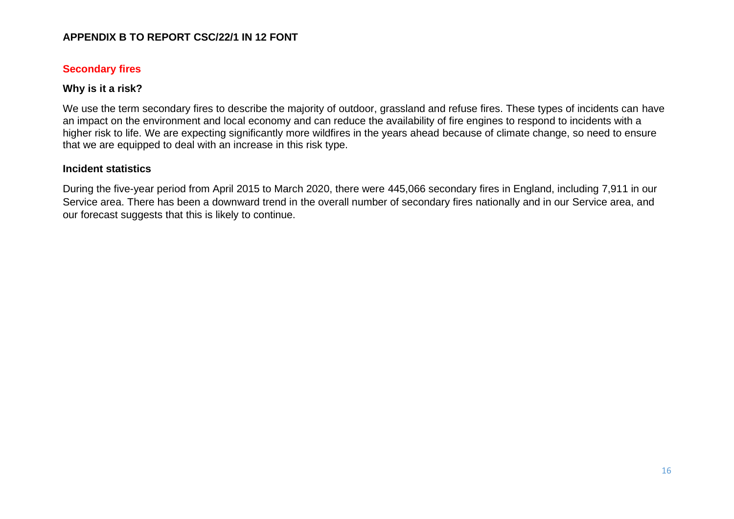#### **Secondary fires**

#### **Why is it a risk?**

We use the term secondary fires to describe the majority of outdoor, grassland and refuse fires. These types of incidents can have an impact on the environment and local economy and can reduce the availability of fire engines to respond to incidents with a higher risk to life. We are expecting significantly more wildfires in the years ahead because of climate change, so need to ensure that we are equipped to deal with an increase in this risk type.

#### **Incident statistics**

During the five-year period from April 2015 to March 2020, there were 445,066 secondary fires in England, including 7,911 in our Service area. There has been a downward trend in the overall number of secondary fires nationally and in our Service area, and our forecast suggests that this is likely to continue.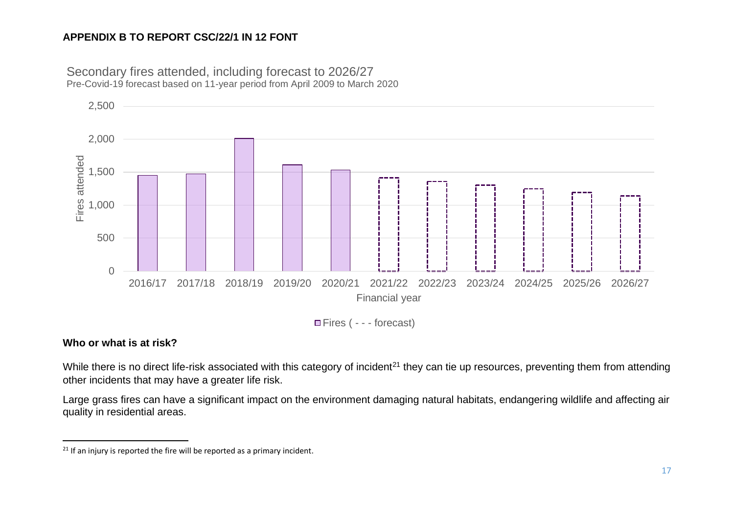

Secondary fires attended, including forecast to 2026/27 Pre-Covid-19 forecast based on 11-year period from April 2009 to March 2020

Fires ( - - - forecast)

## **Who or what is at risk?**

While there is no direct life-risk associated with this category of incident<sup>21</sup> they can tie up resources, preventing them from attending other incidents that may have a greater life risk.

Large grass fires can have a significant impact on the environment damaging natural habitats, endangering wildlife and affecting air quality in residential areas.

 $21$  If an injury is reported the fire will be reported as a primary incident.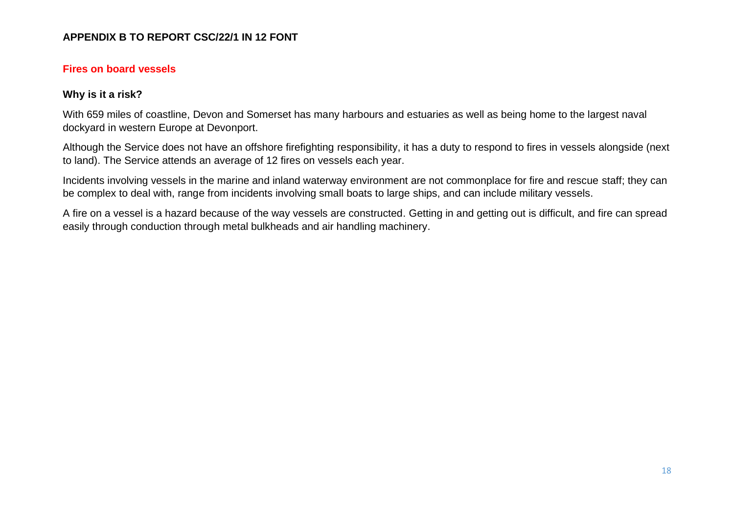#### **Fires on board vessels**

#### **Why is it a risk?**

With 659 miles of coastline, Devon and Somerset has many harbours and estuaries as well as being home to the largest naval dockyard in western Europe at Devonport.

Although the Service does not have an offshore firefighting responsibility, it has a duty to respond to fires in vessels alongside (next to land). The Service attends an average of 12 fires on vessels each year.

Incidents involving vessels in the marine and inland waterway environment are not commonplace for fire and rescue staff; they can be complex to deal with, range from incidents involving small boats to large ships, and can include military vessels.

A fire on a vessel is a hazard because of the way vessels are constructed. Getting in and getting out is difficult, and fire can spread easily through conduction through metal bulkheads and air handling machinery.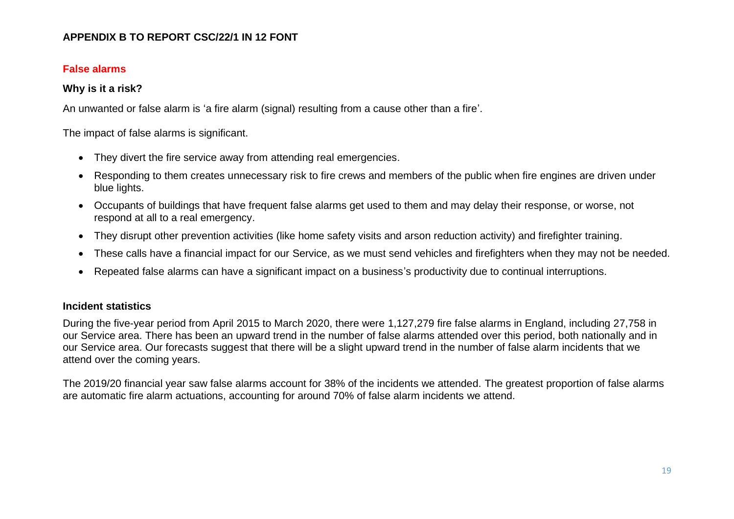## **False alarms**

## **Why is it a risk?**

An unwanted or false alarm is 'a fire alarm (signal) resulting from a cause other than a fire'.

The impact of false alarms is significant.

- They divert the fire service away from attending real emergencies.
- Responding to them creates unnecessary risk to fire crews and members of the public when fire engines are driven under blue lights.
- Occupants of buildings that have frequent false alarms get used to them and may delay their response, or worse, not respond at all to a real emergency.
- They disrupt other prevention activities (like home safety visits and arson reduction activity) and firefighter training.
- These calls have a financial impact for our Service, as we must send vehicles and firefighters when they may not be needed.
- Repeated false alarms can have a significant impact on a business's productivity due to continual interruptions.

## **Incident statistics**

During the five-year period from April 2015 to March 2020, there were 1,127,279 fire false alarms in England, including 27,758 in our Service area. There has been an upward trend in the number of false alarms attended over this period, both nationally and in our Service area. Our forecasts suggest that there will be a slight upward trend in the number of false alarm incidents that we attend over the coming years.

The 2019/20 financial year saw false alarms account for 38% of the incidents we attended. The greatest proportion of false alarms are automatic fire alarm actuations, accounting for around 70% of false alarm incidents we attend.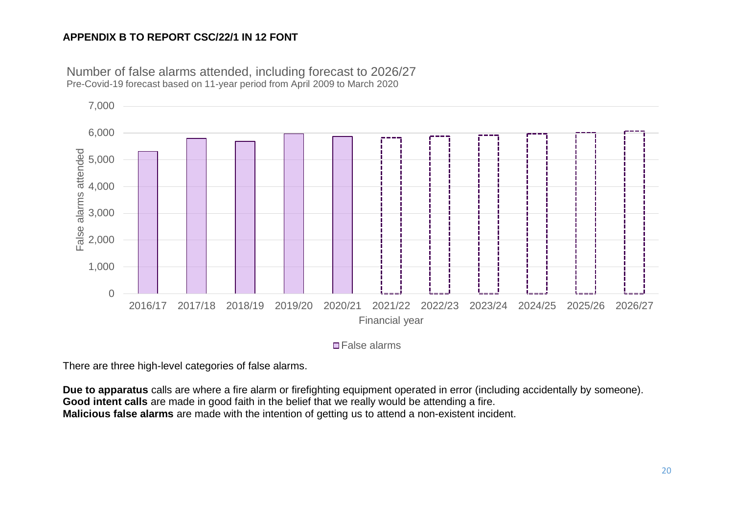

Number of false alarms attended, including forecast to 2026/27 Pre-Covid-19 forecast based on 11-year period from April 2009 to March 2020

**□ False alarms** 

There are three high-level categories of false alarms.

**Due to apparatus** calls are where a fire alarm or firefighting equipment operated in error (including accidentally by someone). **Good intent calls** are made in good faith in the belief that we really would be attending a fire. **Malicious false alarms** are made with the intention of getting us to attend a non-existent incident.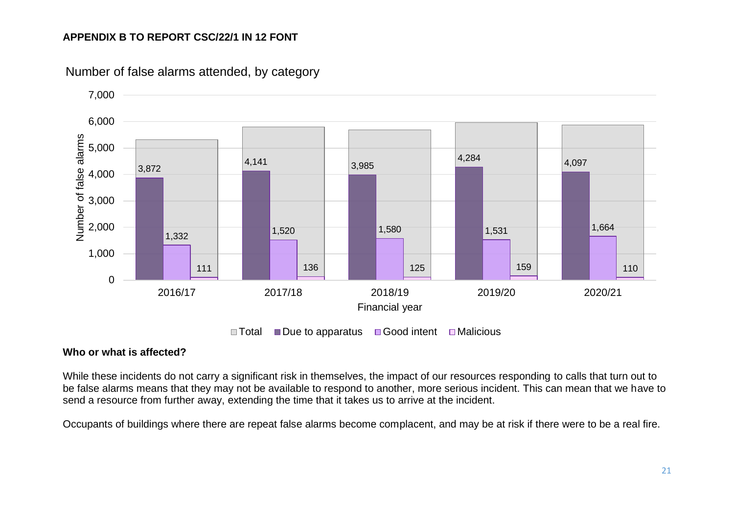

Number of false alarms attended, by category

#### **Who or what is affected?**

While these incidents do not carry a significant risk in themselves, the impact of our resources responding to calls that turn out to be false alarms means that they may not be available to respond to another, more serious incident. This can mean that we have to send a resource from further away, extending the time that it takes us to arrive at the incident.

Occupants of buildings where there are repeat false alarms become complacent, and may be at risk if there were to be a real fire.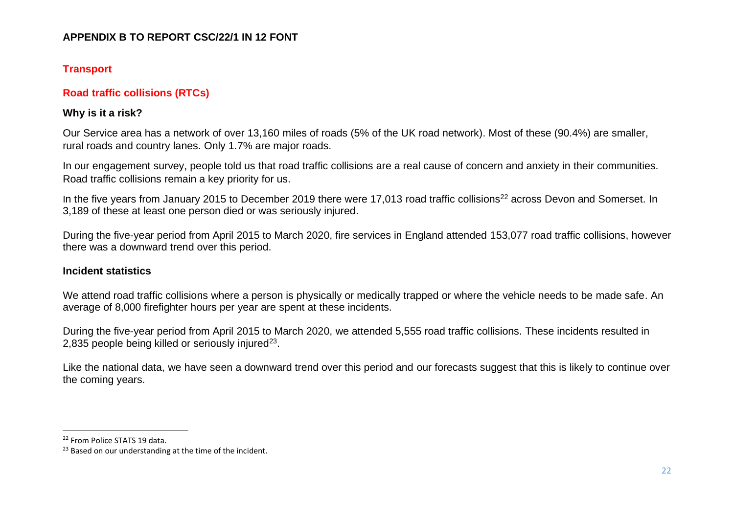## **Transport**

## **Road traffic collisions (RTCs)**

## **Why is it a risk?**

Our Service area has a network of over 13,160 miles of roads (5% of the UK road network). Most of these (90.4%) are smaller, rural roads and country lanes. Only 1.7% are major roads.

In our engagement survey, people told us that road traffic collisions are a real cause of concern and anxiety in their communities. Road traffic collisions remain a key priority for us.

In the five years from January 2015 to December 2019 there were 17,013 road traffic collisions<sup>22</sup> across Devon and Somerset. In 3,189 of these at least one person died or was seriously injured.

During the five-year period from April 2015 to March 2020, fire services in England attended 153,077 road traffic collisions, however there was a downward trend over this period.

#### **Incident statistics**

We attend road traffic collisions where a person is physically or medically trapped or where the vehicle needs to be made safe. An average of 8,000 firefighter hours per year are spent at these incidents.

During the five-year period from April 2015 to March 2020, we attended 5,555 road traffic collisions. These incidents resulted in 2,835 people being killed or seriously injured<sup>23</sup>.

Like the national data, we have seen a downward trend over this period and our forecasts suggest that this is likely to continue over the coming years.

<sup>22</sup> From Police STATS 19 data.

 $23$  Based on our understanding at the time of the incident.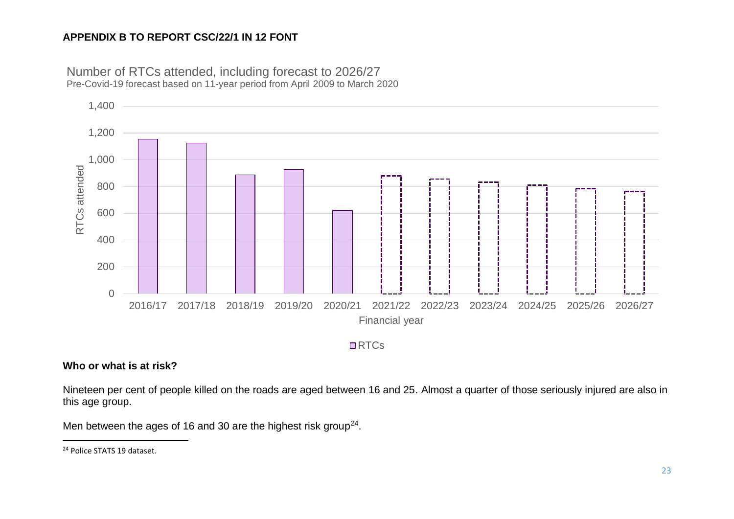

Number of RTCs attended, including forecast to 2026/27 Pre-Covid-19 forecast based on 11-year period from April 2009 to March 2020

#### □RTC<sub>S</sub>

## **Who or what is at risk?**

Nineteen per cent of people killed on the roads are aged between 16 and 25. Almost a quarter of those seriously injured are also in this age group.

Men between the ages of 16 and 30 are the highest risk group<sup>24</sup>.

<sup>&</sup>lt;sup>24</sup> Police STATS 19 dataset.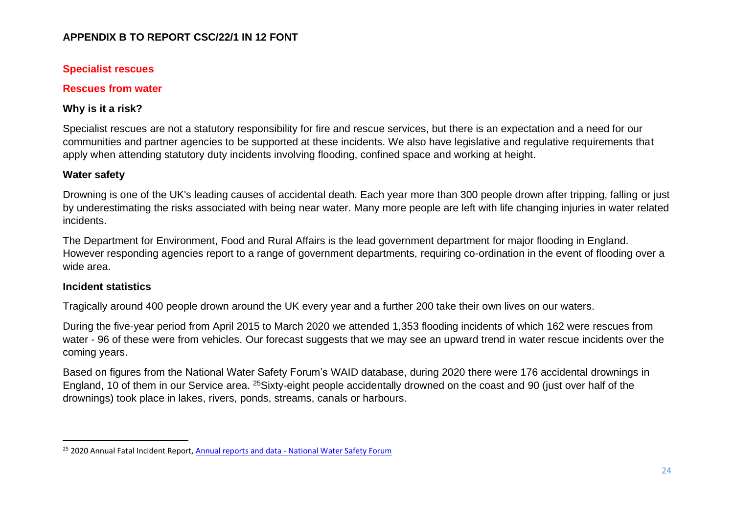## **Specialist rescues**

## **Rescues from water**

## **Why is it a risk?**

Specialist rescues are not a statutory responsibility for fire and rescue services, but there is an expectation and a need for our communities and partner agencies to be supported at these incidents. We also have legislative and regulative requirements that apply when attending statutory duty incidents involving flooding, confined space and working at height.

## **Water safety**

Drowning is one of the UK's leading causes of accidental death. Each year more than 300 people drown after tripping, falling or just by underestimating the risks associated with being near water. Many more people are left with life changing injuries in water related incidents.

The Department for Environment, Food and Rural Affairs is the lead government department for major flooding in England. However responding agencies report to a range of government departments, requiring co-ordination in the event of flooding over a wide area.

#### **Incident statistics**

Tragically around 400 people drown around the UK every year and a further 200 take their own lives on our waters.

During the five-year period from April 2015 to March 2020 we attended 1,353 flooding incidents of which 162 were rescues from water - 96 of these were from vehicles. Our forecast suggests that we may see an upward trend in water rescue incidents over the coming years.

Based on figures from the National Water Safety Forum's WAID database, during 2020 there were 176 accidental drownings in England, 10 of them in our Service area. <sup>25</sup>Sixty-eight people accidentally drowned on the coast and 90 (just over half of the drownings) took place in lakes, rivers, ponds, streams, canals or harbours.

<sup>&</sup>lt;sup>25</sup> 2020 Annual Fatal Incident Report, Annual reports and data - [National Water Safety Forum](https://www.nationalwatersafety.org.uk/waid/annual-reports-and-data)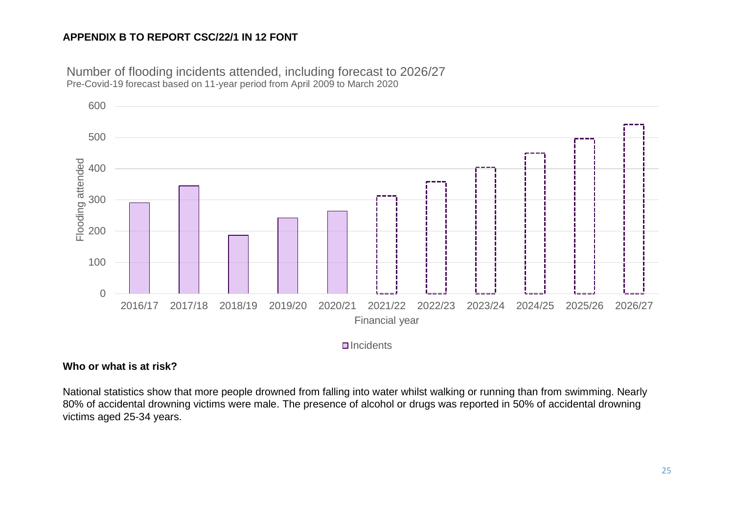

Number of flooding incidents attended, including forecast to 2026/27 Pre-Covid-19 forecast based on 11-year period from April 2009 to March 2020

**□**Incidents

#### **Who or what is at risk?**

National statistics show that more people drowned from falling into water whilst walking or running than from swimming. Nearly 80% of accidental drowning victims were male. The presence of alcohol or drugs was reported in 50% of accidental drowning victims aged 25-34 years.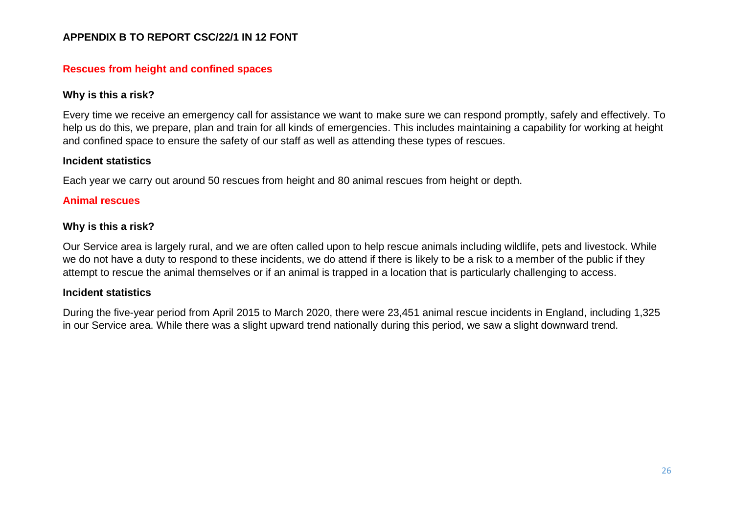#### **Rescues from height and confined spaces**

#### **Why is this a risk?**

Every time we receive an emergency call for assistance we want to make sure we can respond promptly, safely and effectively. To help us do this, we prepare, plan and train for all kinds of emergencies. This includes maintaining a capability for working at height and confined space to ensure the safety of our staff as well as attending these types of rescues.

#### **Incident statistics**

Each year we carry out around 50 rescues from height and 80 animal rescues from height or depth.

#### **Animal rescues**

#### **Why is this a risk?**

Our Service area is largely rural, and we are often called upon to help rescue animals including wildlife, pets and livestock. While we do not have a duty to respond to these incidents, we do attend if there is likely to be a risk to a member of the public if they attempt to rescue the animal themselves or if an animal is trapped in a location that is particularly challenging to access.

#### **Incident statistics**

During the five-year period from April 2015 to March 2020, there were 23,451 animal rescue incidents in England, including 1,325 in our Service area. While there was a slight upward trend nationally during this period, we saw a slight downward trend.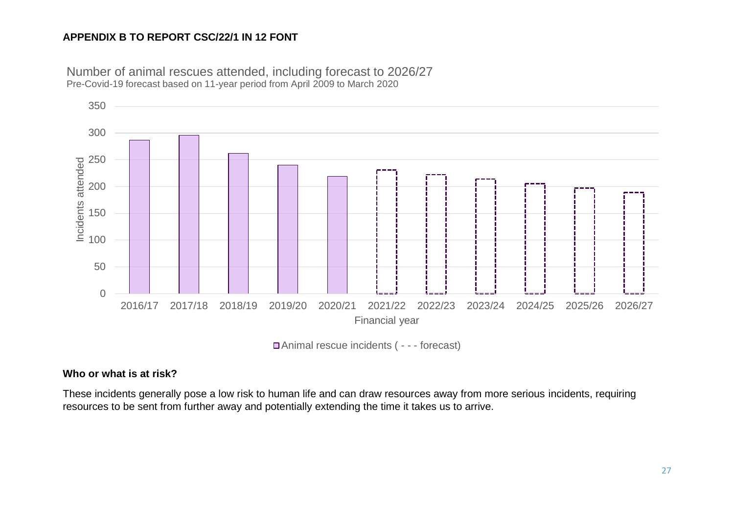

Number of animal rescues attended, including forecast to 2026/27 Pre-Covid-19 forecast based on 11-year period from April 2009 to March 2020

Animal rescue incidents ( - - - forecast)

## **Who or what is at risk?**

These incidents generally pose a low risk to human life and can draw resources away from more serious incidents, requiring resources to be sent from further away and potentially extending the time it takes us to arrive.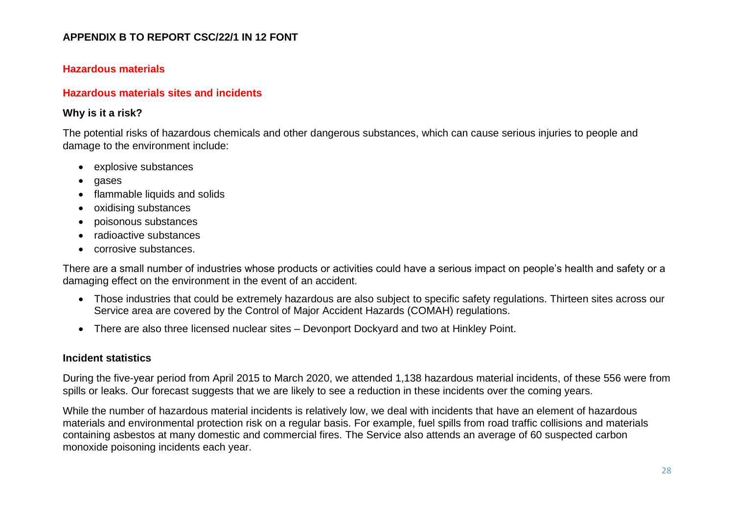#### **Hazardous materials**

#### **Hazardous materials sites and incidents**

#### **Why is it a risk?**

The potential risks of hazardous chemicals and other dangerous substances, which can cause serious injuries to people and damage to the environment include:

- explosive substances
- gases
- flammable liquids and solids
- oxidising substances
- poisonous substances
- radioactive substances
- corrosive substances.

There are a small number of industries whose products or activities could have a serious impact on people's health and safety or a damaging effect on the environment in the event of an accident.

- Those industries that could be extremely hazardous are also subject to specific safety regulations. Thirteen sites across our Service area are covered by the Control of Major Accident Hazards (COMAH) regulations.
- There are also three licensed nuclear sites Devonport Dockyard and two at Hinkley Point.

#### **Incident statistics**

During the five-year period from April 2015 to March 2020, we attended 1,138 hazardous material incidents, of these 556 were from spills or leaks. Our forecast suggests that we are likely to see a reduction in these incidents over the coming years.

While the number of hazardous material incidents is relatively low, we deal with incidents that have an element of hazardous materials and environmental protection risk on a regular basis. For example, fuel spills from road traffic collisions and materials containing asbestos at many domestic and commercial fires. The Service also attends an average of 60 suspected carbon monoxide poisoning incidents each year.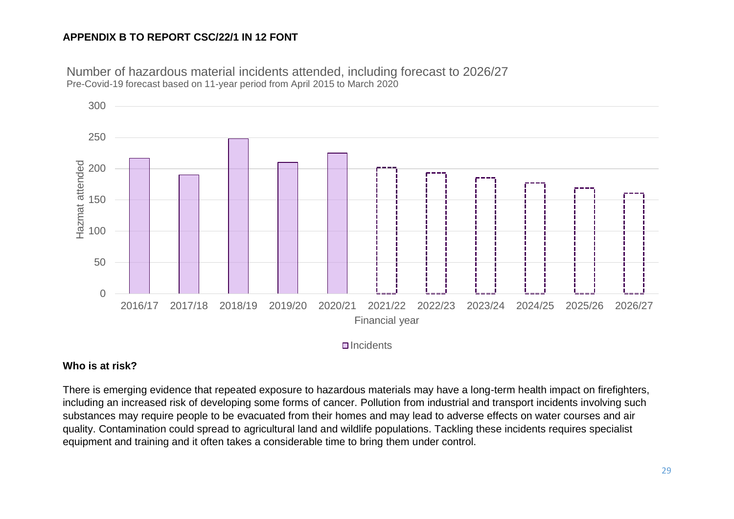Number of hazardous material incidents attended, including forecast to 2026/27 Pre-Covid-19 forecast based on 11-year period from April 2015 to March 2020



 $\Box$ Incidents

#### **Who is at risk?**

There is emerging evidence that repeated exposure to hazardous materials may have a long-term health impact on firefighters, including an increased risk of developing some forms of cancer. Pollution from industrial and transport incidents involving such substances may require people to be evacuated from their homes and may lead to adverse effects on water courses and air quality. Contamination could spread to agricultural land and wildlife populations. Tackling these incidents requires specialist equipment and training and it often takes a considerable time to bring them under control.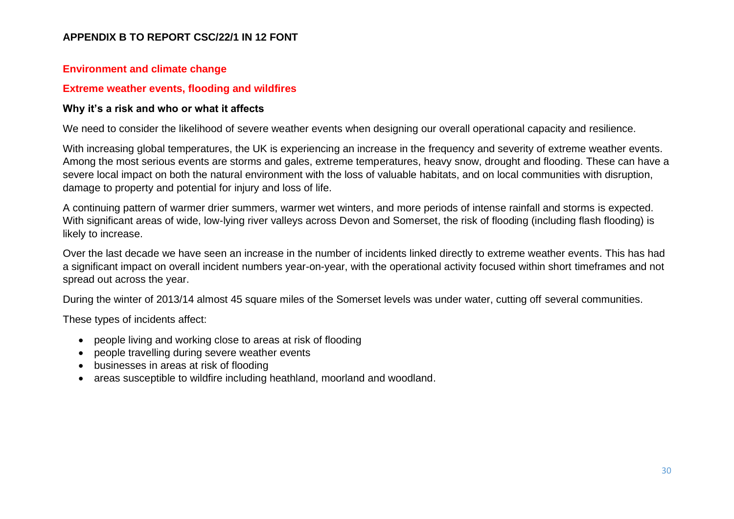#### **Environment and climate change**

#### **Extreme weather events, flooding and wildfires**

#### **Why it's a risk and who or what it affects**

We need to consider the likelihood of severe weather events when designing our overall operational capacity and resilience.

With increasing global temperatures, the UK is experiencing an increase in the frequency and severity of extreme weather events. Among the most serious events are storms and gales, extreme temperatures, heavy snow, drought and flooding. These can have a severe local impact on both the natural environment with the loss of valuable habitats, and on local communities with disruption, damage to property and potential for injury and loss of life.

A continuing pattern of warmer drier summers, warmer wet winters, and more periods of intense rainfall and storms is expected. With significant areas of wide, low-lying river valleys across Devon and Somerset, the risk of flooding (including flash flooding) is likely to increase.

Over the last decade we have seen an increase in the number of incidents linked directly to extreme weather events. This has had a significant impact on overall incident numbers year-on-year, with the operational activity focused within short timeframes and not spread out across the year.

During the winter of 2013/14 almost 45 square miles of the Somerset levels was under water, cutting off several communities.

These types of incidents affect:

- people living and working close to areas at risk of flooding
- people travelling during severe weather events
- businesses in areas at risk of flooding
- areas susceptible to wildfire including heathland, moorland and woodland.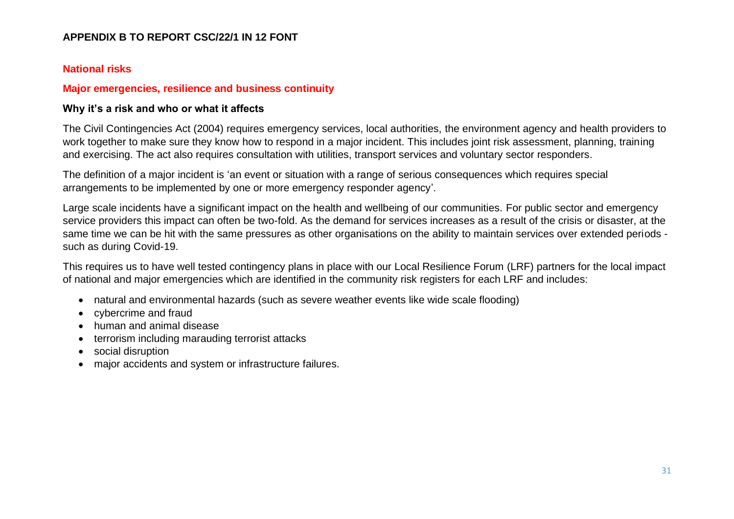#### **National risks**

#### **Major emergencies, resilience and business continuity**

#### **Why it's a risk and who or what it affects**

The Civil Contingencies Act (2004) requires emergency services, local authorities, the environment agency and health providers to work together to make sure they know how to respond in a major incident. This includes joint risk assessment, planning, training and exercising. The act also requires consultation with utilities, transport services and voluntary sector responders.

The definition of a major incident is 'an event or situation with a range of serious consequences which requires special arrangements to be implemented by one or more emergency responder agency'.

Large scale incidents have a significant impact on the health and wellbeing of our communities. For public sector and emergency service providers this impact can often be two-fold. As the demand for services increases as a result of the crisis or disaster, at the same time we can be hit with the same pressures as other organisations on the ability to maintain services over extended periods such as during Covid-19.

This requires us to have well tested contingency plans in place with our Local Resilience Forum (LRF) partners for the local impact of national and major emergencies which are identified in the community risk registers for each LRF and includes:

- natural and environmental hazards (such as severe weather events like wide scale flooding)
- cybercrime and fraud
- human and animal disease
- terrorism including marauding terrorist attacks
- social disruption
- major accidents and system or infrastructure failures.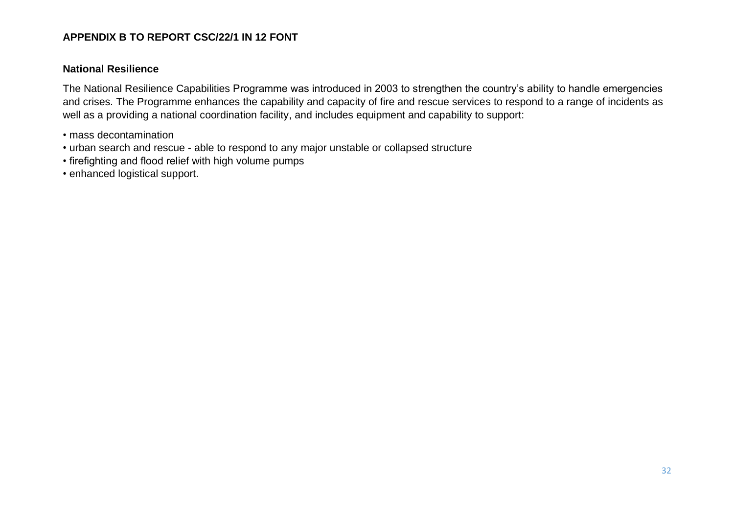#### **National Resilience**

The National Resilience Capabilities Programme was introduced in 2003 to strengthen the country's ability to handle emergencies and crises. The Programme enhances the capability and capacity of fire and rescue services to respond to a range of incidents as well as a providing a national coordination facility, and includes equipment and capability to support:

- mass decontamination
- urban search and rescue able to respond to any major unstable or collapsed structure
- firefighting and flood relief with high volume pumps
- enhanced logistical support.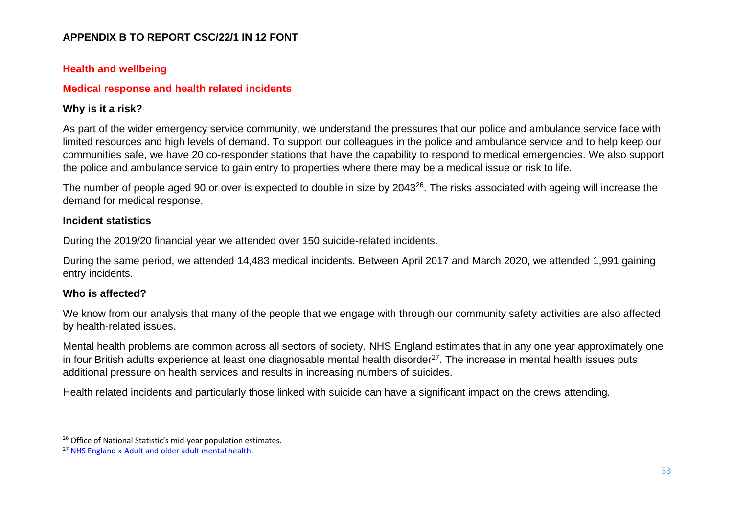## **Health and wellbeing**

## **Medical response and health related incidents**

## **Why is it a risk?**

As part of the wider emergency service community, we understand the pressures that our police and ambulance service face with limited resources and high levels of demand. To support our colleagues in the police and ambulance service and to help keep our communities safe, we have 20 co-responder stations that have the capability to respond to medical emergencies. We also support the police and ambulance service to gain entry to properties where there may be a medical issue or risk to life.

The number of people aged 90 or over is expected to double in size by 2043<sup>26</sup>. The risks associated with ageing will increase the demand for medical response.

#### **Incident statistics**

During the 2019/20 financial year we attended over 150 suicide-related incidents.

During the same period, we attended 14,483 medical incidents. Between April 2017 and March 2020, we attended 1,991 gaining entry incidents.

#### **Who is affected?**

We know from our analysis that many of the people that we engage with through our community safety activities are also affected by health-related issues.

Mental health problems are common across all sectors of society. NHS England estimates that in any one year approximately one in four British adults experience at least one diagnosable mental health disorder<sup>27</sup>. The increase in mental health issues puts additional pressure on health services and results in increasing numbers of suicides.

Health related incidents and particularly those linked with suicide can have a significant impact on the crews attending.

<sup>&</sup>lt;sup>26</sup> Office of National Statistic's mid-year population estimates.

<sup>27</sup> [NHS England » Adult and older adult mental health.](https://www.england.nhs.uk/mental-health/adults/)